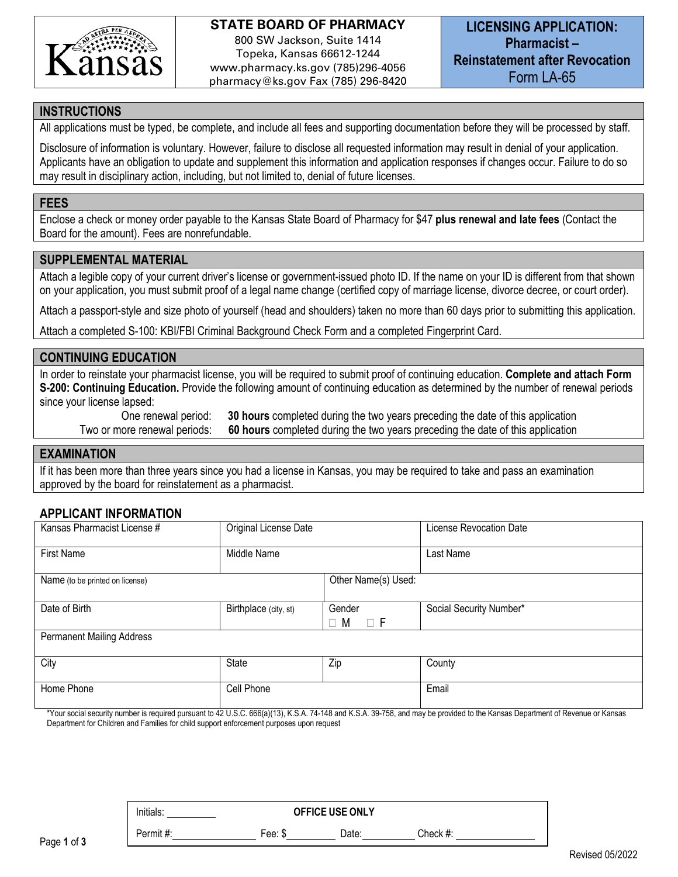

# **STATE BOARD OF PHARMACY** 800 SW Jackson, Suite 1414 Topeka, Kansas 66612-1244

www.pharmacy.ks.gov (785)296-4056 pharmacy@ks.gov Fax (785) 296-8420

### **INSTRUCTIONS**

All applications must be typed, be complete, and include all fees and supporting documentation before they will be processed by staff.

Disclosure of information is voluntary. However, failure to disclose all requested information may result in denial of your application. Applicants have an obligation to update and supplement this information and application responses if changes occur. Failure to do so may result in disciplinary action, including, but not limited to, denial of future licenses.

### **FEES**

Enclose a check or money order payable to the Kansas State Board of Pharmacy for \$47 **plus renewal and late fees** (Contact the Board for the amount). Fees are nonrefundable.

### **SUPPLEMENTAL MATERIAL**

Attach a legible copy of your current driver's license or government-issued photo ID. If the name on your ID is different from that shown on your application, you must submit proof of a legal name change (certified copy of marriage license, divorce decree, or court order).

Attach a passport-style and size photo of yourself (head and shoulders) taken no more than 60 days prior to submitting this application.

Attach a completed S-100: KBI/FBI Criminal Background Check Form and a completed Fingerprint Card.

### **CONTINUING EDUCATION**

In order to reinstate your pharmacist license, you will be required to submit proof of continuing education. **Complete and attach Form S-200: Continuing Education.** Provide the following amount of continuing education as determined by the number of renewal periods since your license lapsed:

 One renewal period: **30 hours** completed during the two years preceding the date of this application Two or more renewal periods: **60 hours** completed during the two years preceding the date of this application

#### **EXAMINATION**

If it has been more than three years since you had a license in Kansas, you may be required to take and pass an examination approved by the board for reinstatement as a pharmacist.

### **APPLICANT INFORMATION**

| Kansas Pharmacist License #      | Original License Date |                         | License Revocation Date |
|----------------------------------|-----------------------|-------------------------|-------------------------|
| <b>First Name</b>                | Middle Name           |                         | Last Name               |
| Name (to be printed on license)  |                       | Other Name(s) Used:     |                         |
| Date of Birth                    | Birthplace (city, st) | Gender<br>$\Box$ F<br>M | Social Security Number* |
| <b>Permanent Mailing Address</b> |                       |                         |                         |
| City                             | <b>State</b>          | Zip                     | County                  |
| Home Phone                       | Cell Phone            |                         | Email                   |

\*Your social security number is required pursuant to 42 U.S.C. 666(a)(13), K.S.A. 74-148 and K.S.A. 39-758, and may be provided to the Kansas Department of Revenue or Kansas Department for Children and Families for child support enforcement purposes upon request

Initials: **OFFICE USE ONLY** Permit #: Fee: \$ Date: Check #: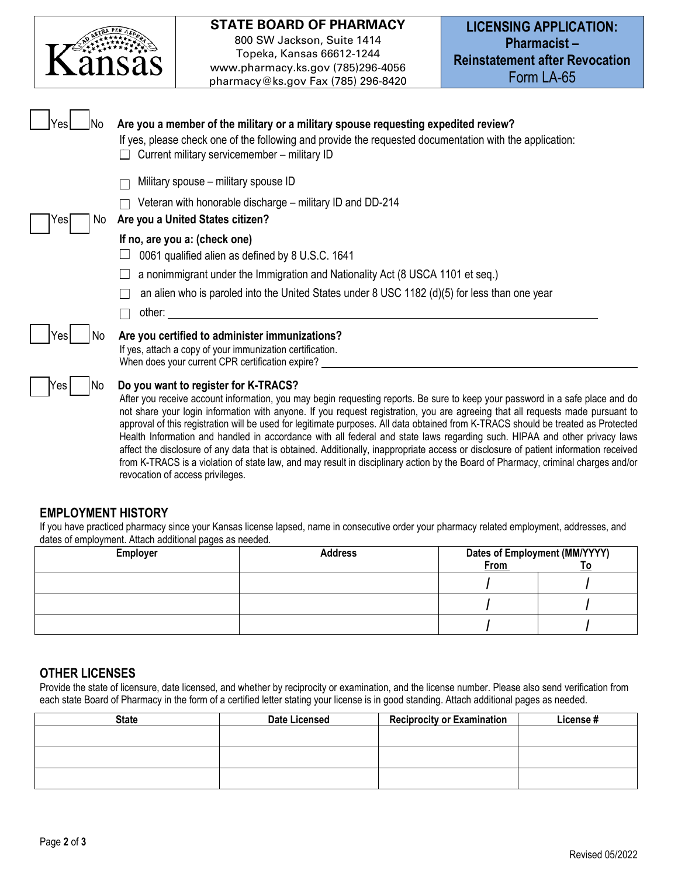

## **STATE BOARD OF PHARMACY**

800 SW Jackson, Suite 1414 Topeka, Kansas 66612-1244 www.pharmacy.ks.gov (785)296-4056 pharmacy@ks.gov Fax (785) 296-8420

| Yesl<br>INo. | Are you a member of the military or a military spouse requesting expedited review?<br>If yes, please check one of the following and provide the requested documentation with the application:<br>Current military servicemember - military ID                                                                                                                                                                                                                                                                                                                                                                                                                                                                                                                                                                                                                                              |
|--------------|--------------------------------------------------------------------------------------------------------------------------------------------------------------------------------------------------------------------------------------------------------------------------------------------------------------------------------------------------------------------------------------------------------------------------------------------------------------------------------------------------------------------------------------------------------------------------------------------------------------------------------------------------------------------------------------------------------------------------------------------------------------------------------------------------------------------------------------------------------------------------------------------|
|              | Military spouse - military spouse ID                                                                                                                                                                                                                                                                                                                                                                                                                                                                                                                                                                                                                                                                                                                                                                                                                                                       |
| Yes<br>No.   | Veteran with honorable discharge – military ID and DD-214<br>Are you a United States citizen?                                                                                                                                                                                                                                                                                                                                                                                                                                                                                                                                                                                                                                                                                                                                                                                              |
|              | If no, are you a: (check one)<br>0061 qualified alien as defined by 8 U.S.C. 1641                                                                                                                                                                                                                                                                                                                                                                                                                                                                                                                                                                                                                                                                                                                                                                                                          |
|              | a nonimmigrant under the Immigration and Nationality Act (8 USCA 1101 et seq.)                                                                                                                                                                                                                                                                                                                                                                                                                                                                                                                                                                                                                                                                                                                                                                                                             |
|              | an alien who is paroled into the United States under 8 USC 1182 (d)(5) for less than one year                                                                                                                                                                                                                                                                                                                                                                                                                                                                                                                                                                                                                                                                                                                                                                                              |
|              | other:                                                                                                                                                                                                                                                                                                                                                                                                                                                                                                                                                                                                                                                                                                                                                                                                                                                                                     |
| No<br>res    | Are you certified to administer immunizations?<br>If yes, attach a copy of your immunization certification.<br>When does your current CPR certification expire?                                                                                                                                                                                                                                                                                                                                                                                                                                                                                                                                                                                                                                                                                                                            |
| Yes<br>No    | Do you want to register for K-TRACS?<br>After you receive account information, you may begin requesting reports. Be sure to keep your password in a safe place and do<br>not share your login information with anyone. If you request registration, you are agreeing that all requests made pursuant to<br>approval of this registration will be used for legitimate purposes. All data obtained from K-TRACS should be treated as Protected<br>Health Information and handled in accordance with all federal and state laws regarding such. HIPAA and other privacy laws<br>affect the disclosure of any data that is obtained. Additionally, inappropriate access or disclosure of patient information received<br>from K-TRACS is a violation of state law, and may result in disciplinary action by the Board of Pharmacy, criminal charges and/or<br>revocation of access privileges. |

## **EMPLOYMENT HISTORY**

If you have practiced pharmacy since your Kansas license lapsed, name in consecutive order your pharmacy related employment, addresses, and dates of employment. Attach additional pages as needed.

| . .<br><b>Employer</b> | <b>Address</b> | Dates of Employment (MM/YYYY) |  |
|------------------------|----------------|-------------------------------|--|
|                        |                | From                          |  |
|                        |                |                               |  |
|                        |                |                               |  |
|                        |                |                               |  |

### **OTHER LICENSES**

Provide the state of licensure, date licensed, and whether by reciprocity or examination, and the license number. Please also send verification from each state Board of Pharmacy in the form of a certified letter stating your license is in good standing. Attach additional pages as needed.

| <b>State</b> | <b>Date Licensed</b> | <b>Reciprocity or Examination</b> | License # |
|--------------|----------------------|-----------------------------------|-----------|
|              |                      |                                   |           |
|              |                      |                                   |           |
|              |                      |                                   |           |
|              |                      |                                   |           |
|              |                      |                                   |           |
|              |                      |                                   |           |